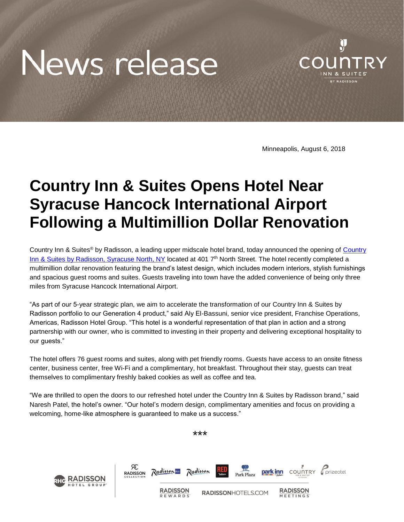## News release



Minneapolis, August 6, 2018

## **Country Inn & Suites Opens Hotel Near Syracuse Hancock International Airport Following a Multimillion Dollar Renovation**

Country Inn & Suites<sup>®</sup> by Radisson, a leading upper midscale hotel brand, today announced the opening of Country [Inn & Suites by Radisson, Syracuse North, NY](https://www.countryinns.com/liverpool-hotel-ny-13088/usalsny) located at 401 7<sup>th</sup> North Street. The hotel recently completed a multimillion dollar renovation featuring the brand's latest design, which includes modern interiors, stylish furnishings and spacious guest rooms and suites. Guests traveling into town have the added convenience of being only three miles from Syracuse Hancock International Airport.

"As part of our 5-year strategic plan, we aim to accelerate the transformation of our Country Inn & Suites by Radisson portfolio to our Generation 4 product," said Aly El-Bassuni, senior vice president, Franchise Operations, Americas, Radisson Hotel Group. "This hotel is a wonderful representation of that plan in action and a strong partnership with our owner, who is committed to investing in their property and delivering exceptional hospitality to our guests."

The hotel offers 76 guest rooms and suites, along with pet friendly rooms. Guests have access to an onsite fitness center, business center, free Wi-Fi and a complimentary, hot breakfast. Throughout their stay, guests can treat themselves to complimentary freshly baked cookies as well as coffee and tea.

"We are thrilled to open the doors to our refreshed hotel under the Country Inn & Suites by Radisson brand," said Naresh Patel, the hotel's owner. "Our hotel's modern design, complimentary amenities and focus on providing a welcoming, home-like atmosphere is guaranteed to make us a success."

\*\*\*